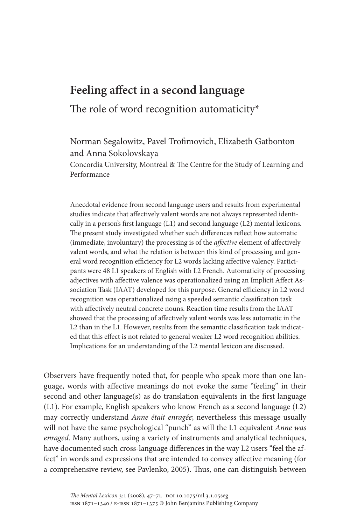# Feeling affect in a second language

The role of word recognition automaticity\*

Norman Segalowitz, Pavel Trofimovich, Elizabeth Gatbonton and Anna Sokolovskaya

Concordia University, Montréal & The Centre for the Study of Learning and Performance

Anecdotal evidence from second language users and results from experimental studies indicate that affectively valent words are not always represented identically in a person's first language  $(L1)$  and second language  $(L2)$  mental lexicons. The present study investigated whether such differences reflect how automatic (immediate, involuntary) the processing is of the *affective* element of affectively valent words, and what the relation is between this kind of processing and general word recognition efficiency for L2 words lacking affective valency. Participants were 48 L1 speakers of English with L2 French. Automaticity of processing adjectives with affective valence was operationalized using an Implicit Affect Association Task (IAAT) developed for this purpose. General efficiency in L2 word recognition was operationalized using a speeded semantic classification task with affectively neutral concrete nouns. Reaction time results from the IAAT showed that the processing of affectively valent words was less automatic in the L2 than in the L1. However, results from the semantic classification task indicated that this effect is not related to general weaker L2 word recognition abilities. Implications for an understanding of the L2 mental lexicon are discussed.

Observers have frequently noted that, for people who speak more than one language, words with affective meanings do not evoke the same "feeling" in their second and other language(s) as do translation equivalents in the first language (L1). For example, English speakers who know French as a second language (L2) may correctly understand Anne était enragée; nevertheless this message usually will not have the same psychological "punch" as will the L1 equivalent Anne was enraged. Many authors, using a variety of instruments and analytical techniques, have documented such cross-language differences in the way L2 users "feel the affect" in words and expressions that are intended to convey affective meaning (for a comprehensive review, see Pavlenko, 2005). Thus, one can distinguish between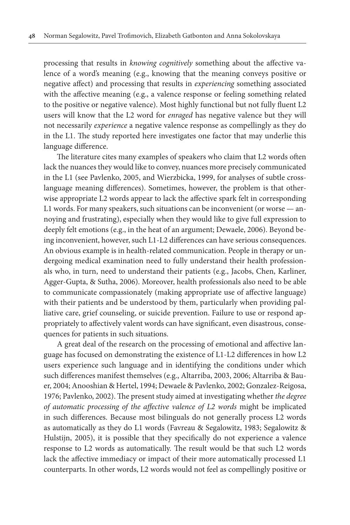processing that results in knowing cognitively something about the affective valence of a word's meaning (e.g., knowing that the meaning conveys positive or negative affect) and processing that results in *experiencing* something associated with the affective meaning (e.g., a valence response or feeling something related to the positive or negative valence). Most highly functional but not fully fluent L2 users will know that the L2 word for enraged has negative valence but they will not necessarily experience a negative valence response as compellingly as they do in the L1. The study reported here investigates one factor that may underlie this language difference.

The literature cites many examples of speakers who claim that L2 words often lack the nuances they would like to convey, nuances more precisely communicated in the L1 (see Pavlenko, 2005, and Wierzbicka, 1999, for analyses of subtle crosslanguage meaning differences). Sometimes, however, the problem is that otherwise appropriate L2 words appear to lack the affective spark felt in corresponding L1 words. For many speakers, such situations can be inconvenient (or worse — annoying and frustrating), especially when they would like to give full expression to deeply felt emotions (e.g., in the heat of an argument; Dewaele, 2006). Beyond being inconvenient, however, such L1-L2 differences can have serious consequences. An obvious example is in health-related communication. People in therapy or undergoing medical examination need to fully understand their health professionals who, in turn, need to understand their patients (e.g., Jacobs, Chen, Karliner, Agger-Gupta, & Sutha, 2006). Moreover, health professionals also need to be able to communicate compassionately (making appropriate use of affective language) with their patients and be understood by them, particularly when providing palliative care, grief counseling, or suicide prevention. Failure to use or respond appropriately to affectively valent words can have significant, even disastrous, consequences for patients in such situations.

A great deal of the research on the processing of emotional and affective language has focused on demonstrating the existence of L1-L2 differences in how L2 users experience such language and in identifying the conditions under which such differences manifest themselves (e.g., Altarriba, 2003, 2006; Altarriba & Bauer, 2004; Anooshian & Hertel, 1994; Dewaele & Pavlenko, 2002; Gonzalez-Reigosa, 1976; Pavlenko, 2002). The present study aimed at investigating whether the degree of automatic processing of the affective valence of L2 words might be implicated in such differences. Because most bilinguals do not generally process L2 words as automatically as they do L1 words (Favreau & Segalowitz, 1983; Segalowitz & Hulstijn, 2005), it is possible that they specifically do not experience a valence response to L2 words as automatically. The result would be that such L2 words lack the affective immediacy or impact of their more automatically processed L1 counterparts. In other words, L2 words would not feel as compellingly positive or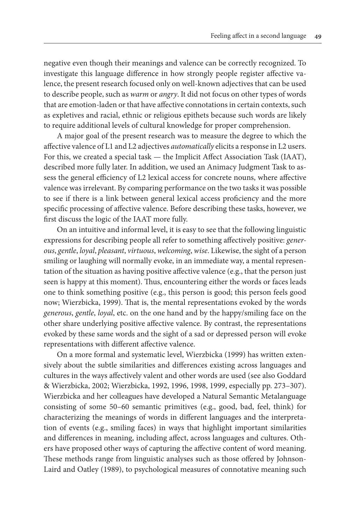negative even though their meanings and valence can be correctly recognized. To investigate this language difference in how strongly people register affective valence, the present research focused only on well-known adjectives that can be used to describe people, such as warm or angry. It did not focus on other types of words that are emotion-laden or that have affective connotations in certain contexts, such as expletives and racial, ethnic or religious epithets because such words are likely to require additional levels of cultural knowledge for proper comprehension.

A major goal of the present research was to measure the degree to which the affective valence of L1 and L2 adjectives *automatically* elicits a response in L2 users. For this, we created a special task — the Implicit Affect Association Task (IAAT), described more fully later. In addition, we used an Animacy Judgment Task to assess the general efficiency of L2 lexical access for concrete nouns, where affective valence was irrelevant. By comparing performance on the two tasks it was possible to see if there is a link between general lexical access proficiency and the more specific processing of affective valence. Before describing these tasks, however, we first discuss the logic of the IAAT more fully.

On an intuitive and informal level, it is easy to see that the following linguistic expressions for describing people all refer to something affectively positive: generous, gentle, loyal, pleasant, virtuous, welcoming, wise. Likewise, the sight of a person smiling or laughing will normally evoke, in an immediate way, a mental representation of the situation as having positive affective valence (e.g., that the person just seen is happy at this moment). Thus, encountering either the words or faces leads one to think something positive (e.g., this person is good; this person feels good now; Wierzbicka, 1999). That is, the mental representations evoked by the words generous, gentle, loyal, etc. on the one hand and by the happy/smiling face on the other share underlying positive affective valence. By contrast, the representations evoked by these same words and the sight of a sad or depressed person will evoke representations with different affective valence.

On a more formal and systematic level, Wierzbicka (1999) has written extensively about the subtle similarities and differences existing across languages and cultures in the ways affectively valent and other words are used (see also Goddard & Wierzbicka, 2002; Wierzbicka, 1992, 1996, 1998, 1999, especially pp. 273–307). Wierzbicka and her colleagues have developed a Natural Semantic Metalanguage consisting of some 50–60 semantic primitives (e.g., good, bad, feel, think) for characterizing the meanings of words in different languages and the interpretation of events (e.g., smiling faces) in ways that highlight important similarities and differences in meaning, including affect, across languages and cultures. Others have proposed other ways of capturing the affective content of word meaning. These methods range from linguistic analyses such as those offered by Johnson-Laird and Oatley (1989), to psychological measures of connotative meaning such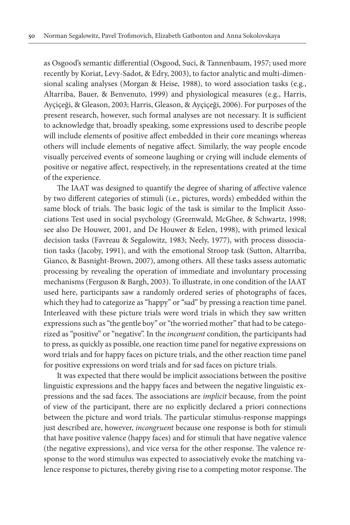as Osgood's semantic differential (Osgood, Suci, & Tannenbaum, 1957; used more recently by Koriat, Levy-Sadot, & Edry, 2003), to factor analytic and multi-dimensional scaling analyses (Morgan & Heise, 1988), to word association tasks (e.g., Altarriba, Bauer, & Benvenuto, 1999) and physiological measures (e.g., Harris, Ayçiçeği, & Gleason, 2003; Harris, Gleason, & Ayçiçeği, 2006). For purposes of the present research, however, such formal analyses are not necessary. It is sufficient to acknowledge that, broadly speaking, some expressions used to describe people will include elements of positive affect embedded in their core meanings whereas others will include elements of negative affect. Similarly, the way people encode visually perceived events of someone laughing or crying will include elements of positive or negative affect, respectively, in the representations created at the time of the experience.

The IAAT was designed to quantify the degree of sharing of affective valence by two different categories of stimuli (i.e., pictures, words) embedded within the same block of trials. The basic logic of the task is similar to the Implicit Associations Test used in social psychology (Greenwald, McGhee, & Schwartz, 1998; see also De Houwer, 2001, and De Houwer & Eelen, 1998), with primed lexical decision tasks (Favreau & Segalowitz, 1983; Neely, 1977), with process dissociation tasks (Jacoby, 1991), and with the emotional Stroop task (Sutton, Altarriba, Gianco, & Basnight-Brown, 2007), among others. All these tasks assess automatic processing by revealing the operation of immediate and involuntary processing mechanisms (Ferguson & Bargh, 2003). To illustrate, in one condition of the IAAT used here, participants saw a randomly ordered series of photographs of faces, which they had to categorize as "happy" or "sad" by pressing a reaction time panel. Interleaved with these picture trials were word trials in which they saw written expressions such as "the gentle boy" or "the worried mother" that had to be categorized as "positive" or "negative". In the incongruent condition, the participants had to press, as quickly as possible, one reaction time panel for negative expressions on word trials and for happy faces on picture trials, and the other reaction time panel for positive expressions on word trials and for sad faces on picture trials.

It was expected that there would be implicit associations between the positive linguistic expressions and the happy faces and between the negative linguistic expressions and the sad faces. The associations are *implicit* because, from the point of view of the participant, there are no explicitly declared a priori connections between the picture and word trials. The particular stimulus-response mappings just described are, however, *incongruent* because one response is both for stimuli that have positive valence (happy faces) and for stimuli that have negative valence (the negative expressions), and vice versa for the other response. The valence response to the word stimulus was expected to associatively evoke the matching valence response to pictures, thereby giving rise to a competing motor response. The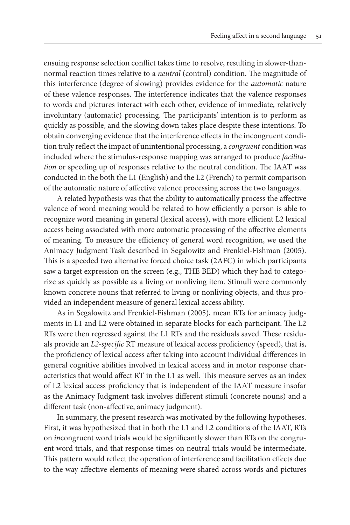ensuing response selection conflict takes time to resolve, resulting in slower-thannormal reaction times relative to a *neutral* (control) condition. The magnitude of this interference (degree of slowing) provides evidence for the automatic nature of these valence responses. The interference indicates that the valence responses to words and pictures interact with each other, evidence of immediate, relatively involuntary (automatic) processing. The participants' intention is to perform as quickly as possible, and the slowing down takes place despite these intentions. To obtain converging evidence that the interference effects in the incongruent condition truly reflect the impact of unintentional processing, a congruent condition was included where the stimulus-response mapping was arranged to produce facilitation or speeding up of responses relative to the neutral condition. The IAAT was conducted in the both the L1 (English) and the L2 (French) to permit comparison of the automatic nature of affective valence processing across the two languages.

A related hypothesis was that the ability to automatically process the affective valence of word meaning would be related to how efficiently a person is able to recognize word meaning in general (lexical access), with more efficient L2 lexical access being associated with more automatic processing of the affective elements of meaning. To measure the efficiency of general word recognition, we used the Animacy Judgment Task described in Segalowitz and Frenkiel-Fishman (2005). This is a speeded two alternative forced choice task (2AFC) in which participants saw a target expression on the screen (e.g., THE BED) which they had to categorize as quickly as possible as a living or nonliving item. Stimuli were commonly known concrete nouns that referred to living or nonliving objects, and thus provided an independent measure of general lexical access ability.

As in Segalowitz and Frenkiel-Fishman (2005), mean RTs for animacy judgments in L1 and L2 were obtained in separate blocks for each participant. The L2 RTs were then regressed against the L1 RTs and the residuals saved. These residuals provide an L2-specific RT measure of lexical access proficiency (speed), that is, the proficiency of lexical access after taking into account individual differences in general cognitive abilities involved in lexical access and in motor response characteristics that would affect RT in the L1 as well. This measure serves as an index of L2 lexical access proficiency that is independent of the IAAT measure insofar as the Animacy Judgment task involves different stimuli (concrete nouns) and a different task (non-affective, animacy judgment).

In summary, the present research was motivated by the following hypotheses. First, it was hypothesized that in both the L1 and L2 conditions of the IAAT, RTs on incongruent word trials would be significantly slower than RTs on the congruent word trials, and that response times on neutral trials would be intermediate. This pattern would reflect the operation of interference and facilitation effects due to the way affective elements of meaning were shared across words and pictures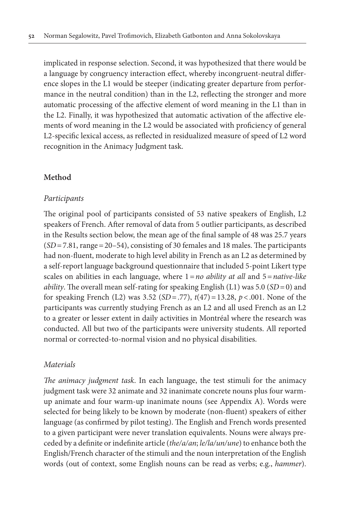implicated in response selection. Second, it was hypothesized that there would be a language by congruency interaction effect, whereby incongruent-neutral difference slopes in the L1 would be steeper (indicating greater departure from performance in the neutral condition) than in the L2, reflecting the stronger and more automatic processing of the affective element of word meaning in the L1 than in the L2. Finally, it was hypothesized that automatic activation of the affective elements of word meaning in the L2 would be associated with proficiency of general L2-specific lexical access, as reflected in residualized measure of speed of L2 word recognition in the Animacy Judgment task.

#### **Method**

#### Participants

The original pool of participants consisted of 53 native speakers of English, L2 speakers of French. After removal of data from 5 outlier participants, as described in the Results section below, the mean age of the final sample of 48 was 25.7 years  $(SD=7.81, \text{range}=20-54)$ , consisting of 30 females and 18 males. The participants had non-fluent, moderate to high level ability in French as an L2 as determined by a self-report language background questionnaire that included 5-point Likert type scales on abilities in each language, where  $1=no$  ability at all and  $5=native-like$ *ability*. The overall mean self-rating for speaking English (L1) was 5.0 (SD=0) and for speaking French (L2) was 3.52 (SD = .77),  $t(47) = 13.28$ ,  $p < .001$ . None of the participants was currently studying French as an L2 and all used French as an L2 to a greater or lesser extent in daily activities in Montréal where the research was conducted. All but two of the participants were university students. All reported normal or corrected-to-normal vision and no physical disabilities.

#### Materials

The animacy judgment task. In each language, the test stimuli for the animacy judgment task were 32 animate and 32 inanimate concrete nouns plus four warmup animate and four warm-up inanimate nouns (see Appendix A). Words were selected for being likely to be known by moderate (non-fluent) speakers of either language (as confirmed by pilot testing). The English and French words presented to a given participant were never translation equivalents. Nouns were always preceded by a definite or indefinite article (the/a/an; le/la/un/une) to enhance both the English/French character of the stimuli and the noun interpretation of the English words (out of context, some English nouns can be read as verbs; e.g., hammer).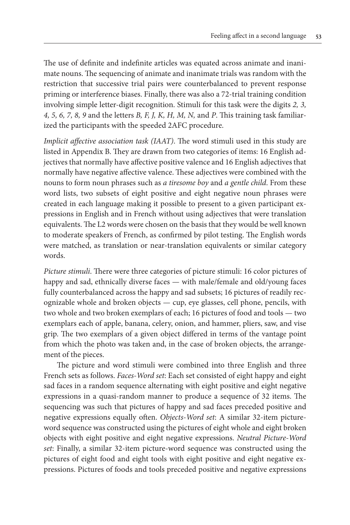The use of definite and indefinite articles was equated across animate and inanimate nouns. The sequencing of animate and inanimate trials was random with the restriction that successive trial pairs were counterbalanced to prevent response priming or interference biases. Finally, there was also a 72-trial training condition involving simple letter-digit recognition. Stimuli for this task were the digits 2, 3, 4, 5, 6, 7, 8, 9 and the letters B, F, J, K, H, M, N, and P. This training task familiarized the participants with the speeded 2AFC procedure.

Implicit affective association task (IAAT). The word stimuli used in this study are listed in Appendix B. They are drawn from two categories of items: 16 English adjectives that normally have affective positive valence and 16 English adjectives that normally have negative affective valence. These adjectives were combined with the nouns to form noun phrases such as a tiresome boy and a gentle child. From these word lists, two subsets of eight positive and eight negative noun phrases were created in each language making it possible to present to a given participant expressions in English and in French without using adjectives that were translation equivalents. The L2 words were chosen on the basis that they would be well known to moderate speakers of French, as confirmed by pilot testing. The English words were matched, as translation or near-translation equivalents or similar category words.

Picture stimuli. There were three categories of picture stimuli: 16 color pictures of happy and sad, ethnically diverse faces — with male/female and old/young faces fully counterbalanced across the happy and sad subsets; 16 pictures of readily recognizable whole and broken objects — cup, eye glasses, cell phone, pencils, with two whole and two broken exemplars of each; 16 pictures of food and tools — two exemplars each of apple, banana, celery, onion, and hammer, pliers, saw, and vise grip. The two exemplars of a given object differed in terms of the vantage point from which the photo was taken and, in the case of broken objects, the arrangement of the pieces.

The picture and word stimuli were combined into three English and three French sets as follows. Faces-Word set: Each set consisted of eight happy and eight sad faces in a random sequence alternating with eight positive and eight negative expressions in a quasi-random manner to produce a sequence of 32 items. The sequencing was such that pictures of happy and sad faces preceded positive and negative expressions equally often. Objects-Word set: A similar 32-item pictureword sequence was constructed using the pictures of eight whole and eight broken objects with eight positive and eight negative expressions. Neutral Picture-Word set: Finally, a similar 32-item picture-word sequence was constructed using the pictures of eight food and eight tools with eight positive and eight negative expressions. Pictures of foods and tools preceded positive and negative expressions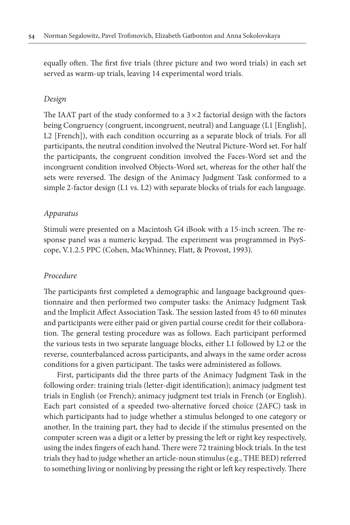equally often. The first five trials (three picture and two word trials) in each set served as warm-up trials, leaving 14 experimental word trials.

## Design

The IAAT part of the study conformed to a  $3 \times 2$  factorial design with the factors being Congruency (congruent, incongruent, neutral) and Language (L1 [English], L2 [French]), with each condition occurring as a separate block of trials. For all participants, the neutral condition involved the Neutral Picture-Word set. For half the participants, the congruent condition involved the Faces-Word set and the incongruent condition involved Objects-Word set, whereas for the other half the sets were reversed. The design of the Animacy Judgment Task conformed to a simple 2-factor design (L1 vs. L2) with separate blocks of trials for each language.

## Apparatus

Stimuli were presented on a Macintosh G4 iBook with a 15-inch screen. The response panel was a numeric keypad. The experiment was programmed in PsyScope, V.1.2.5 PPC (Cohen, MacWhinney, Flatt, & Provost, 1993).

## Procedure

The participants first completed a demographic and language background questionnaire and then performed two computer tasks: the Animacy Judgment Task and the Implicit Affect Association Task. The session lasted from 45 to 60 minutes and participants were either paid or given partial course credit for their collaboration. The general testing procedure was as follows. Each participant performed the various tests in two separate language blocks, either L1 followed by L2 or the reverse, counterbalanced across participants, and always in the same order across conditions for a given participant. The tasks were administered as follows.

First, participants did the three parts of the Animacy Judgment Task in the following order: training trials (letter-digit identification); animacy judgment test trials in English (or French); animacy judgment test trials in French (or English). Each part consisted of a speeded two-alternative forced choice (2AFC) task in which participants had to judge whether a stimulus belonged to one category or another. In the training part, they had to decide if the stimulus presented on the computer screen was a digit or a letter by pressing the left or right key respectively, using the index fingers of each hand. There were 72 training block trials. In the test trials they had to judge whether an article-noun stimulus (e.g., THE BED) referred to something living or nonliving by pressing the right or left key respectively. There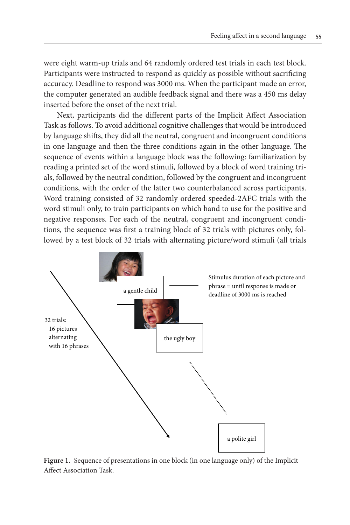were eight warm-up trials and 64 randomly ordered test trials in each test block. Participants were instructed to respond as quickly as possible without sacrificing accuracy. Deadline to respond was 3000 ms. When the participant made an error, the computer generated an audible feedback signal and there was a 450 ms delay inserted before the onset of the next trial.

Next, participants did the different parts of the Implicit Affect Association Task as follows. To avoid additional cognitive challenges that would be introduced by language shifts, they did all the neutral, congruent and incongruent conditions in one language and then the three conditions again in the other language. The sequence of events within a language block was the following: familiarization by reading a printed set of the word stimuli, followed by a block of word training trials, followed by the neutral condition, followed by the congruent and incongruent conditions, with the order of the latter two counterbalanced across participants. Word training consisted of 32 randomly ordered speeded-2AFC trials with the word stimuli only, to train participants on which hand to use for the positive and negative responses. For each of the neutral, congruent and incongruent conditions, the sequence was first a training block of 32 trials with pictures only, followed by a test block of 32 trials with alternating picture/word stimuli (all trials



**Figure 1.** Sequence of presentations in one block (in one language only) of the Implicit Affect Association Task.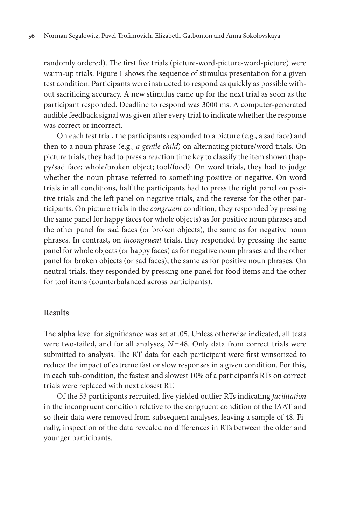randomly ordered). The first five trials (picture-word-picture-word-picture) were warm-up trials. Figure 1 shows the sequence of stimulus presentation for a given test condition. Participants were instructed to respond as quickly as possible without sacrificing accuracy. A new stimulus came up for the next trial as soon as the participant responded. Deadline to respond was 3000 ms. A computer-generated audible feedback signal was given after every trial to indicate whether the response was correct or incorrect.

On each test trial, the participants responded to a picture (e.g., a sad face) and then to a noun phrase (e.g., a gentle child) on alternating picture/word trials. On picture trials, they had to press a reaction time key to classify the item shown (happy/sad face; whole/broken object; tool/food). On word trials, they had to judge whether the noun phrase referred to something positive or negative. On word trials in all conditions, half the participants had to press the right panel on positive trials and the left panel on negative trials, and the reverse for the other participants. On picture trials in the congruent condition, they responded by pressing the same panel for happy faces (or whole objects) as for positive noun phrases and the other panel for sad faces (or broken objects), the same as for negative noun phrases. In contrast, on incongruent trials, they responded by pressing the same panel for whole objects (or happy faces) as for negative noun phrases and the other panel for broken objects (or sad faces), the same as for positive noun phrases. On neutral trials, they responded by pressing one panel for food items and the other for tool items (counterbalanced across participants).

#### **Results**

The alpha level for significance was set at .05. Unless otherwise indicated, all tests were two-tailed, and for all analyses,  $N=48$ . Only data from correct trials were submitted to analysis. The RT data for each participant were first winsorized to reduce the impact of extreme fast or slow responses in a given condition. For this, in each sub-condition, the fastest and slowest 10% of a participant's RTs on correct trials were replaced with next closest RT.

Of the 53 participants recruited, five yielded outlier RTs indicating facilitation in the incongruent condition relative to the congruent condition of the IAAT and so their data were removed from subsequent analyses, leaving a sample of 48. Finally, inspection of the data revealed no differences in RTs between the older and younger participants.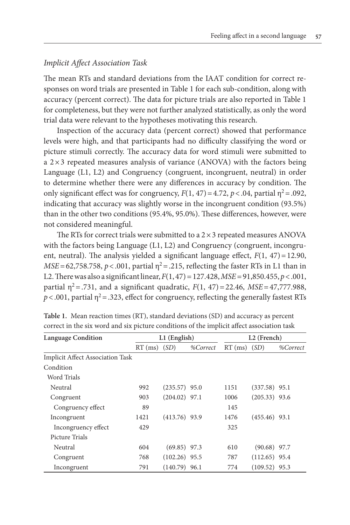#### Implicit Affect Association Task

The mean RTs and standard deviations from the IAAT condition for correct responses on word trials are presented in Table 1 for each sub-condition, along with accuracy (percent correct). The data for picture trials are also reported in Table 1 for completeness, but they were not further analyzed statistically, as only the word trial data were relevant to the hypotheses motivating this research.

Inspection of the accuracy data (percent correct) showed that performance levels were high, and that participants had no difficulty classifying the word or picture stimuli correctly. The accuracy data for word stimuli were submitted to a  $2 \times 3$  repeated measures analysis of variance (ANOVA) with the factors being Language (L1, L2) and Congruency (congruent, incongruent, neutral) in order to determine whether there were any differences in accuracy by condition. The only significant effect was for congruency,  $F(1, 47) = 4.72$ ,  $p < .04$ , partial  $\eta^2 = .092$ , indicating that accuracy was slightly worse in the incongruent condition (93.5%) than in the other two conditions (95.4%, 95.0%). These differences, however, were not considered meaningful.

The RTs for correct trials were submitted to a  $2\times 3$  repeated measures ANOVA with the factors being Language (L1, L2) and Congruency (congruent, incongruent, neutral). The analysis yielded a significant language effect,  $F(1, 47) = 12.90$ ,  $MSE = 62,758.758$ ,  $p < .001$ , partial  $\eta^2 = .215$ , reflecting the faster RTs in L1 than in L2. There was also a significant linear,  $F(1, 47) = 127.428$ ,  $MSE = 91,850.455$ ,  $p < .001$ , partial  $\eta^2 = .731$ , and a significant quadratic,  $F(1, 47) = 22.46$ ,  $MSE = 47,777.988$ ,  $p$  < .001, partial  $\eta$ <sup>2</sup> = .323, effect for congruency, reflecting the generally fastest RTs

| <b>Language Condition</b>               |           | L1 (English)    |          | L <sub>2</sub> (French) |                 |          |  |
|-----------------------------------------|-----------|-----------------|----------|-------------------------|-----------------|----------|--|
|                                         | $RT$ (ms) | (SD)            | %Correct | $RT$ (ms)               | (SD)            | %Correct |  |
| <b>Implicit Affect Association Task</b> |           |                 |          |                         |                 |          |  |
| Condition                               |           |                 |          |                         |                 |          |  |
| Word Trials                             |           |                 |          |                         |                 |          |  |
| Neutral                                 | 992       | $(235.57)$ 95.0 |          | 1151                    | $(337.58)$ 95.1 |          |  |
| Congruent                               | 903       | $(204.02)$ 97.1 |          | 1006                    | $(205.33)$ 93.6 |          |  |
| Congruency effect                       | 89        |                 |          | 145                     |                 |          |  |
| Incongruent                             | 1421      | $(413.76)$ 93.9 |          | 1476                    | $(455.46)$ 93.1 |          |  |
| Incongruency effect                     | 429       |                 |          | 325                     |                 |          |  |
| Picture Trials                          |           |                 |          |                         |                 |          |  |
| Neutral                                 | 604       | $(69.85)$ 97.3  |          | 610                     | $(90.68)$ 97.7  |          |  |
| Congruent                               | 768       | $(102.26)$ 95.5 |          | 787                     | $(112.65)$ 95.4 |          |  |
| Incongruent                             | 791       | $(140.79)$ 96.1 |          | 774                     | $(109.52)$ 95.3 |          |  |

**Table 1.** Mean reaction times (RT), standard deviations (SD) and accuracy as percent correct in the six word and six picture conditions of the implicit affect association task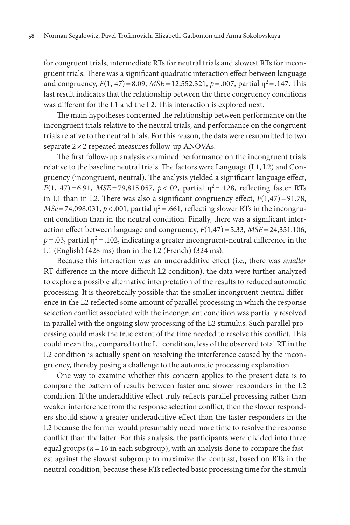for congruent trials, intermediate RTs for neutral trials and slowest RTs for incongruent trials. There was a significant quadratic interaction effect between language and congruency,  $F(1, 47) = 8.09$ ,  $MSE = 12,552.321$ ,  $p = .007$ , partial  $\eta^2 = .147$ . This last result indicates that the relationship between the three congruency conditions was different for the L1 and the L2. This interaction is explored next.

The main hypotheses concerned the relationship between performance on the incongruent trials relative to the neutral trials, and performance on the congruent trials relative to the neutral trials. For this reason, the data were resubmitted to two separate  $2 \times 2$  repeated measures follow-up ANOVAs.

The first follow-up analysis examined performance on the incongruent trials relative to the baseline neutral trials. The factors were Language (L1, L2) and Congruency (incongruent, neutral). The analysis yielded a significant language effect,  $F(1, 47) = 6.91$ ,  $MSE = 79,815.057$ ,  $p < .02$ , partial  $\eta^2 = .128$ , reflecting faster RTs in L1 than in L2. There was also a significant congruency effect,  $F(1,47) = 91.78$ ,  $MSe$ =74,098.031,  $p$  < .001, partial  $\eta^2$  = .661, reflecting slower RTs in the incongruent condition than in the neutral condition. Finally, there was a significant interaction effect between language and congruency,  $F(1,47) = 5.33$ ,  $MSE = 24,351.106$ ,  $p = .03$ , partial  $\eta^2 = .102$ , indicating a greater incongruent-neutral difference in the L1 (English) (428 ms) than in the L2 (French) (324 ms).

Because this interaction was an underadditive effect (i.e., there was smaller RT difference in the more difficult L2 condition), the data were further analyzed to explore a possible alternative interpretation of the results to reduced automatic processing. It is theoretically possible that the smaller incongruent-neutral difference in the L2 reflected some amount of parallel processing in which the response selection conflict associated with the incongruent condition was partially resolved in parallel with the ongoing slow processing of the L2 stimulus. Such parallel processing could mask the true extent of the time needed to resolve this conflict. This could mean that, compared to the L1 condition, less of the observed total RT in the L2 condition is actually spent on resolving the interference caused by the incongruency, thereby posing a challenge to the automatic processing explanation.

One way to examine whether this concern applies to the present data is to compare the pattern of results between faster and slower responders in the L2 condition. If the underadditive effect truly reflects parallel processing rather than weaker interference from the response selection conflict, then the slower responders should show a greater underadditive effect than the faster responders in the L2 because the former would presumably need more time to resolve the response conflict than the latter. For this analysis, the participants were divided into three equal groups ( $n=16$  in each subgroup), with an analysis done to compare the fastest against the slowest subgroup to maximize the contrast, based on RTs in the neutral condition, because these RTs reflected basic processing time for the stimuli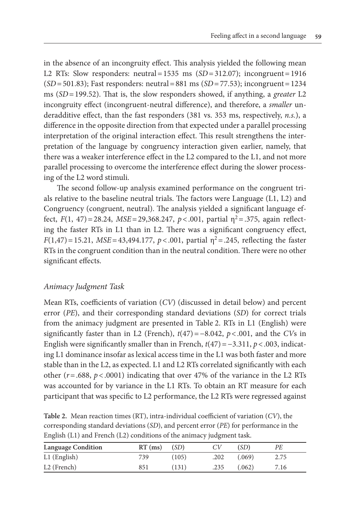in the absence of an incongruity effect. This analysis yielded the following mean L2 RTs: Slow responders: neutral=1535 ms  $(SD=312.07)$ ; incongruent=1916  $(SD=501.83)$ ; Fast responders: neutral = 881 ms  $(SD=77.53)$ ; incongruent = 1234 ms  $(SD=199.52)$ . That is, the slow responders showed, if anything, a greater L2 incongruity effect (incongruent-neutral difference), and therefore, a smaller underadditive effect, than the fast responders (381 vs. 353 ms, respectively,  $n.s.$ ), a difference in the opposite direction from that expected under a parallel processing interpretation of the original interaction effect. This result strengthens the interpretation of the language by congruency interaction given earlier, namely, that there was a weaker interference effect in the L2 compared to the L1, and not more parallel processing to overcome the interference effect during the slower processing of the L2 word stimuli.

The second follow-up analysis examined performance on the congruent trials relative to the baseline neutral trials. The factors were Language  $(L1, L2)$  and Congruency (congruent, neutral). The analysis yielded a significant language effect,  $F(1, 47) = 28.24$ ,  $MSE = 29,368.247$ ,  $p < .001$ , partial  $\eta^2 = .375$ , again reflecting the faster RTs in L1 than in L2. There was a significant congruency effect,  $F(1,47) = 15.21$ ,  $MSE = 43,494.177$ ,  $p < .001$ , partial  $\eta^2 = .245$ , reflecting the faster RTs in the congruent condition than in the neutral condition. There were no other significant effects.

#### Animacy Judgment Task

Mean RTs, coefficients of variation  $(CV)$  (discussed in detail below) and percent error (PE), and their corresponding standard deviations (SD) for correct trials from the animacy judgment are presented in Table 2. RTs in L1 (English) were significantly faster than in L2 (French),  $t(47) = -8.042$ ,  $p < .001$ , and the CVs in English were significantly smaller than in French,  $t(47)=-3.311$ ,  $p < .003$ , indicating L1 dominance insofar as lexical access time in the L1 was both faster and more stable than in the L2, as expected. L1 and L2 RTs correlated significantly with each other ( $r = .688$ ,  $p < .0001$ ) indicating that over 47% of the variance in the L2 RTs was accounted for by variance in the L1 RTs. To obtain an RT measure for each participant that was specific to L2 performance, the L2 RTs were regressed against

**Table 2.** Mean reaction times  $(RT)$ , intra-individual coefficient of variation  $(CV)$ , the corresponding standard deviations (SD), and percent error (PE) for performance in the English (L1) and French (L2) conditions of the animacy judgment task.

| <b>Language Condition</b> | $RT$ (ms) | (SD)  |      | (SD)  | PЕ   |
|---------------------------|-----------|-------|------|-------|------|
| $L1$ (English)            | 739       | (105) | .202 | .069) | 2.75 |
| L <sub>2</sub> (French)   | 851       | .131) | .235 | 062)  | 7.16 |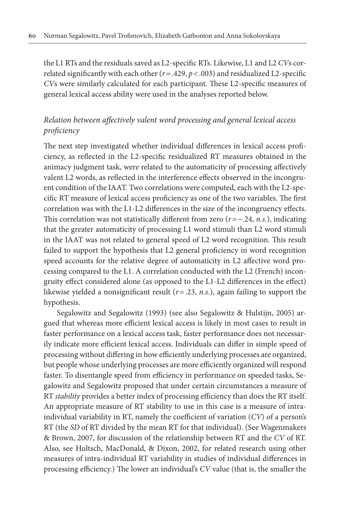the L1 RTs and the residuals saved as L2-specific RTs. Likewise, L1 and L2 CVs correlated significantly with each other ( $r = .429$ ,  $p < .003$ ) and residualized L2-specific CVs were similarly calculated for each participant. These L2-specific measures of general lexical access ability were used in the analyses reported below.

# Relation between affectively valent word processing and general lexical access proficiency

The next step investigated whether individual differences in lexical access proficiency, as reflected in the L2-specific residualized RT measures obtained in the animacy judgment task, were related to the automaticity of processing affectively valent L2 words, as reflected in the interference effects observed in the incongruent condition of the IAAT. Two correlations were computed, each with the L2-specific RT measure of lexical access proficiency as one of the two variables. The first correlation was with the L1-L2 differences in the size of the incongruency effects. This correlation was not statistically different from zero ( $r=-.24$ , n.s.), indicating that the greater automaticity of processing L1 word stimuli than L2 word stimuli in the IAAT was not related to general speed of L2 word recognition. This result failed to support the hypothesis that L2 general proficiency in word recognition speed accounts for the relative degree of automaticity in L2 affective word processing compared to the L1. A correlation conducted with the L2 (French) incongruity effect considered alone (as opposed to the L1-L2 differences in the effect) likewise yielded a nonsignificant result ( $r = .23$ , n.s.), again failing to support the hypothesis.

Segalowitz and Segalowitz (1993) (see also Segalowitz & Hulstijn, 2005) argued that whereas more efficient lexical access is likely in most cases to result in faster performance on a lexical access task, faster performance does not necessarily indicate more efficient lexical access. Individuals can differ in simple speed of processing without differing in how efficiently underlying processes are organized, but people whose underlying processes are more efficiently organized will respond faster. To disentangle speed from efficiency in performance on speeded tasks, Segalowitz and Segalowitz proposed that under certain circumstances a measure of RT stability provides a better index of processing efficiency than does the RT itself. An appropriate measure of RT stability to use in this case is a measure of intraindividual variability in RT, namely the coefficient of variation  $(CV)$  of a person's RT (the SD of RT divided by the mean RT for that individual). (See Wagenmakers & Brown, 2007, for discussion of the relationship between RT and the CV of RT. Also, see Hultsch, MacDonald, & Dixon, 2002, for related research using other measures of intra-individual RT variability in studies of individual differences in processing efficiency.) The lower an individual's CV value (that is, the smaller the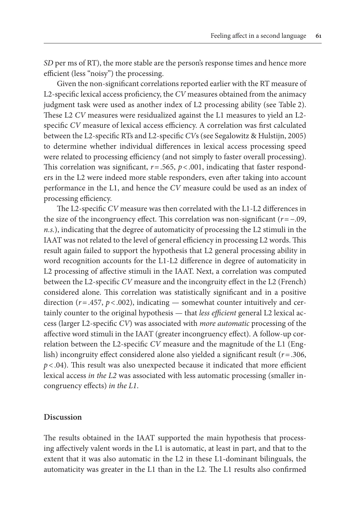SD per ms of RT), the more stable are the person's response times and hence more efficient (less "noisy") the processing.

Given the non-significant correlations reported earlier with the RT measure of L2-specific lexical access proficiency, the  $CV$  measures obtained from the animacy judgment task were used as another index of L2 processing ability (see Table 2). These L2 CV measures were residualized against the L1 measures to yield an L2specific CV measure of lexical access efficiency. A correlation was first calculated between the L2-specific RTs and L2-specific CVs (see Segalowitz & Hulstijn, 2005) to determine whether individual differences in lexical access processing speed were related to processing efficiency (and not simply to faster overall processing). This correlation was significant,  $r = .565$ ,  $p < .001$ , indicating that faster responders in the L2 were indeed more stable responders, even after taking into account performance in the L1, and hence the CV measure could be used as an index of processing efficiency.

The L2-specific CV measure was then correlated with the L1-L2 differences in the size of the incongruency effect. This correlation was non-significant ( $r=-.09$ , n.s.), indicating that the degree of automaticity of processing the L2 stimuli in the IAAT was not related to the level of general efficiency in processing L2 words. This result again failed to support the hypothesis that L2 general processing ability in word recognition accounts for the L1-L2 difference in degree of automaticity in L2 processing of affective stimuli in the IAAT. Next, a correlation was computed between the L2-specific CV measure and the incongruity effect in the L2 (French) considered alone. This correlation was statistically significant and in a positive direction ( $r = .457$ ,  $p < .002$ ), indicating — somewhat counter intuitively and certainly counter to the original hypothesis  $-$  that less efficient general L2 lexical access (larger L2-specific CV) was associated with more automatic processing of the affective word stimuli in the IAAT (greater incongruency effect). A follow-up correlation between the L2-specific  $CV$  measure and the magnitude of the L1 (English) incongruity effect considered alone also yielded a significant result ( $r = .306$ ,  $p$ <.04). This result was also unexpected because it indicated that more efficient lexical access in the L2 was associated with less automatic processing (smaller incongruency effects) in the L1.

#### **Discussion**

The results obtained in the IAAT supported the main hypothesis that processing affectively valent words in the L1 is automatic, at least in part, and that to the extent that it was also automatic in the L2 in these L1-dominant bilinguals, the automaticity was greater in the L1 than in the L2. The L1 results also confirmed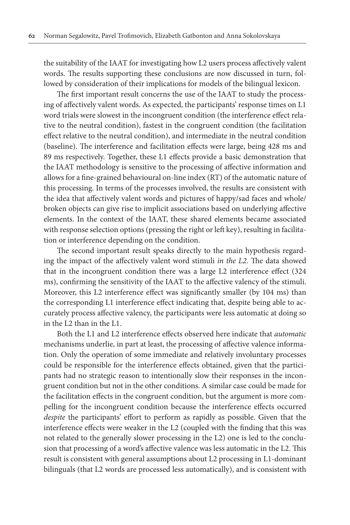the suitability of the IAAT for investigating how L2 users process affectively valent words. The results supporting these conclusions are now discussed in turn, followed by consideration of their implications for models of the bilingual lexicon.

The first important result concerns the use of the IAAT to study the processing of affectively valent words. As expected, the participants' response times on L1 word trials were slowest in the incongruent condition (the interference effect relative to the neutral condition), fastest in the congruent condition (the facilitation effect relative to the neutral condition), and intermediate in the neutral condition (baseline). The interference and facilitation effects were large, being 428 ms and 89 ms respectively. Together, these L1 effects provide a basic demonstration that the IAAT methodology is sensitive to the processing of affective information and allows for a fine-grained behavioural on-line index (RT) of the automatic nature of this processing. In terms of the processes involved, the results are consistent with the idea that affectively valent words and pictures of happy/sad faces and whole/ broken objects can give rise to implicit associations based on underlying affective elements. In the context of the IAAT, these shared elements became associated with response selection options (pressing the right or left key), resulting in facilitation or interference depending on the condition.

The second important result speaks directly to the main hypothesis regarding the impact of the affectively valent word stimuli in the L2. The data showed that in the incongruent condition there was a large L2 interference effect (324 ms), confirming the sensitivity of the IAAT to the affective valency of the stimuli. Moreover, this L2 interference effect was significantly smaller (by 104 ms) than the corresponding L1 interference effect indicating that, despite being able to accurately process affective valency, the participants were less automatic at doing so in the L2 than in the L1.

Both the L1 and L2 interference effects observed here indicate that *automatic* mechanisms underlie, in part at least, the processing of affective valence information. Only the operation of some immediate and relatively involuntary processes could be responsible for the interference effects obtained, given that the participants had no strategic reason to intentionally slow their responses in the incongruent condition but not in the other conditions. A similar case could be made for the facilitation effects in the congruent condition, but the argument is more compelling for the incongruent condition because the interference effects occurred despite the participants' effort to perform as rapidly as possible. Given that the interference effects were weaker in the L2 (coupled with the finding that this was not related to the generally slower processing in the L2) one is led to the conclusion that processing of a word's affective valence was less automatic in the L2. This result is consistent with general assumptions about L2 processing in L1-dominant bilinguals (that L2 words are processed less automatically), and is consistent with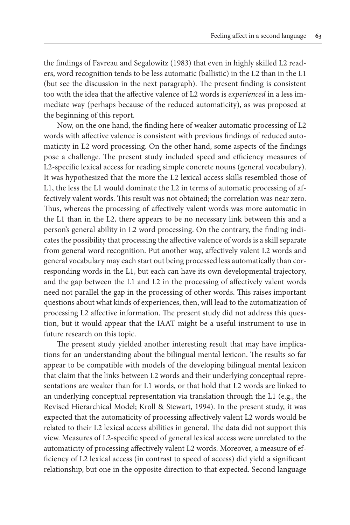the findings of Favreau and Segalowitz (1983) that even in highly skilled L2 readers, word recognition tends to be less automatic (ballistic) in the L2 than in the L1 (but see the discussion in the next paragraph). The present finding is consistent too with the idea that the affective valence of L2 words is experienced in a less immediate way (perhaps because of the reduced automaticity), as was proposed at the beginning of this report.

Now, on the one hand, the finding here of weaker automatic processing of L2 words with affective valence is consistent with previous findings of reduced automaticity in L2 word processing. On the other hand, some aspects of the findings pose a challenge. The present study included speed and efficiency measures of L2-specific lexical access for reading simple concrete nouns (general vocabulary). It was hypothesized that the more the L2 lexical access skills resembled those of L1, the less the L1 would dominate the L2 in terms of automatic processing of affectively valent words. This result was not obtained; the correlation was near zero. Thus, whereas the processing of affectively valent words was more automatic in the L1 than in the L2, there appears to be no necessary link between this and a person's general ability in L2 word processing. On the contrary, the finding indicates the possibility that processing the affective valence of words is a skill separate from general word recognition. Put another way, affectively valent L2 words and general vocabulary may each start out being processed less automatically than corresponding words in the L1, but each can have its own developmental trajectory, and the gap between the L1 and L2 in the processing of affectively valent words need not parallel the gap in the processing of other words. This raises important questions about what kinds of experiences, then, will lead to the automatization of processing L2 affective information. The present study did not address this question, but it would appear that the IAAT might be a useful instrument to use in future research on this topic.

The present study yielded another interesting result that may have implications for an understanding about the bilingual mental lexicon. The results so far appear to be compatible with models of the developing bilingual mental lexicon that claim that the links between L2 words and their underlying conceptual representations are weaker than for L1 words, or that hold that L2 words are linked to an underlying conceptual representation via translation through the L1 (e.g., the Revised Hierarchical Model; Kroll & Stewart, 1994). In the present study, it was expected that the automaticity of processing affectively valent L2 words would be related to their L2 lexical access abilities in general. The data did not support this view. Measures of L2-specific speed of general lexical access were unrelated to the automaticity of processing affectively valent L2 words. Moreover, a measure of efficiency of L2 lexical access (in contrast to speed of access) did yield a significant relationship, but one in the opposite direction to that expected. Second language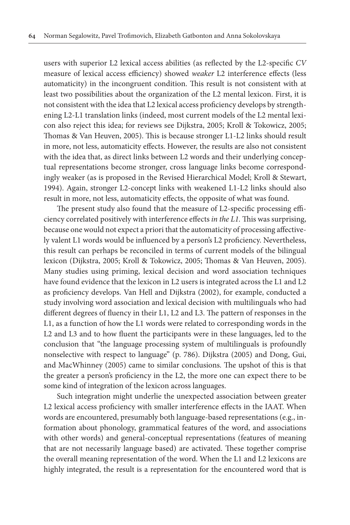users with superior L2 lexical access abilities (as reflected by the L2-specific CV measure of lexical access efficiency) showed weaker L2 interference effects (less automaticity) in the incongruent condition. This result is not consistent with at least two possibilities about the organization of the L2 mental lexicon. First, it is not consistent with the idea that L2 lexical access proficiency develops by strengthening L2-L1 translation links (indeed, most current models of the L2 mental lexicon also reject this idea; for reviews see Dijkstra, 2005; Kroll & Tokowicz, 2005; Thomas & Van Heuven, 2005). This is because stronger L1-L2 links should result in more, not less, automaticity effects. However, the results are also not consistent with the idea that, as direct links between L2 words and their underlying conceptual representations become stronger, cross language links become correspondingly weaker (as is proposed in the Revised Hierarchical Model; Kroll & Stewart, 1994). Again, stronger L2-concept links with weakened L1-L2 links should also result in more, not less, automaticity effects, the opposite of what was found.

The present study also found that the measure of L2-specific processing efficiency correlated positively with interference effects in the  $L1$ . This was surprising, because one would not expect a priori that the automaticity of processing affectively valent L1 words would be influenced by a person's L2 proficiency. Nevertheless, this result can perhaps be reconciled in terms of current models of the bilingual lexicon (Dijkstra, 2005; Kroll & Tokowicz, 2005; Thomas & Van Heuven, 2005). Many studies using priming, lexical decision and word association techniques have found evidence that the lexicon in L2 users is integrated across the L1 and L2 as proficiency develops. Van Hell and Dijkstra (2002), for example, conducted a study involving word association and lexical decision with multilinguals who had different degrees of fluency in their L1, L2 and L3. The pattern of responses in the L1, as a function of how the L1 words were related to corresponding words in the L2 and L3 and to how fluent the participants were in these languages, led to the conclusion that "the language processing system of multilinguals is profoundly nonselective with respect to language" (p. 786). Dijkstra (2005) and Dong, Gui, and MacWhinney (2005) came to similar conclusions. The upshot of this is that the greater a person's proficiency in the L2, the more one can expect there to be some kind of integration of the lexicon across languages.

Such integration might underlie the unexpected association between greater L2 lexical access proficiency with smaller interference effects in the IAAT. When words are encountered, presumably both language-based representations (e.g., information about phonology, grammatical features of the word, and associations with other words) and general-conceptual representations (features of meaning that are not necessarily language based) are activated. These together comprise the overall meaning representation of the word. When the L1 and L2 lexicons are highly integrated, the result is a representation for the encountered word that is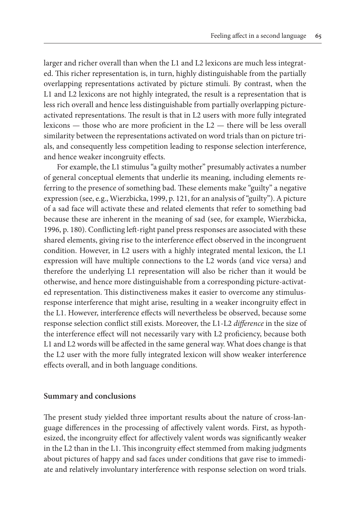larger and richer overall than when the L1 and L2 lexicons are much less integrated. This richer representation is, in turn, highly distinguishable from the partially overlapping representations activated by picture stimuli. By contrast, when the L1 and L2 lexicons are not highly integrated, the result is a representation that is less rich overall and hence less distinguishable from partially overlapping pictureactivated representations. The result is that in L2 users with more fully integrated  $lexicons$  — those who are more proficient in the  $L2$  — there will be less overall similarity between the representations activated on word trials than on picture trials, and consequently less competition leading to response selection interference, and hence weaker incongruity effects.

For example, the L1 stimulus "a guilty mother" presumably activates a number of general conceptual elements that underlie its meaning, including elements referring to the presence of something bad. These elements make "guilty" a negative expression (see, e.g., Wierzbicka, 1999, p. 121, for an analysis of "guilty"). A picture of a sad face will activate these and related elements that refer to something bad because these are inherent in the meaning of sad (see, for example, Wierzbicka, 1996, p. 180). Conflicting left-right panel press responses are associated with these shared elements, giving rise to the interference effect observed in the incongruent condition. However, in L2 users with a highly integrated mental lexicon, the L1 expression will have multiple connections to the L2 words (and vice versa) and therefore the underlying L1 representation will also be richer than it would be otherwise, and hence more distinguishable from a corresponding picture-activated representation. This distinctiveness makes it easier to overcome any stimulusresponse interference that might arise, resulting in a weaker incongruity effect in the L1. However, interference effects will nevertheless be observed, because some response selection conflict still exists. Moreover, the L1-L2 difference in the size of the interference effect will not necessarily vary with L2 proficiency, because both L1 and L2 words will be affected in the same general way. What does change is that the L2 user with the more fully integrated lexicon will show weaker interference effects overall, and in both language conditions.

#### **Summary and conclusions**

The present study yielded three important results about the nature of cross-language differences in the processing of affectively valent words. First, as hypothesized, the incongruity effect for affectively valent words was significantly weaker in the L2 than in the L1. This incongruity effect stemmed from making judgments about pictures of happy and sad faces under conditions that gave rise to immediate and relatively involuntary interference with response selection on word trials.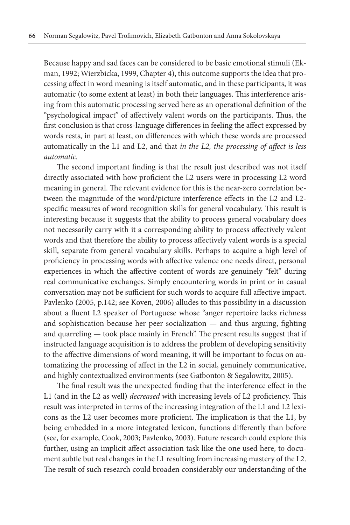Because happy and sad faces can be considered to be basic emotional stimuli (Ekman, 1992; Wierzbicka, 1999, Chapter 4), this outcome supports the idea that processing affect in word meaning is itself automatic, and in these participants, it was automatic (to some extent at least) in both their languages. This interference arising from this automatic processing served here as an operational definition of the "psychological impact" of affectively valent words on the participants. Thus, the first conclusion is that cross-language differences in feeling the affect expressed by words rests, in part at least, on differences with which these words are processed automatically in the L1 and L2, and that in the L2, the processing of affect is less automatic.

The second important finding is that the result just described was not itself directly associated with how proficient the L2 users were in processing L2 word meaning in general. The relevant evidence for this is the near-zero correlation between the magnitude of the word/picture interference effects in the L2 and L2specific measures of word recognition skills for general vocabulary. This result is interesting because it suggests that the ability to process general vocabulary does not necessarily carry with it a corresponding ability to process affectively valent words and that therefore the ability to process affectively valent words is a special skill, separate from general vocabulary skills. Perhaps to acquire a high level of proficiency in processing words with affective valence one needs direct, personal experiences in which the affective content of words are genuinely "felt" during real communicative exchanges. Simply encountering words in print or in casual conversation may not be sufficient for such words to acquire full affective impact. Pavlenko (2005, p.142; see Koven, 2006) alludes to this possibility in a discussion about a fluent L2 speaker of Portuguese whose "anger repertoire lacks richness and sophistication because her peer socialization  $-$  and thus arguing, fighting and quarreling  $-$  took place mainly in French". The present results suggest that if instructed language acquisition is to address the problem of developing sensitivity to the affective dimensions of word meaning, it will be important to focus on automatizing the processing of affect in the L2 in social, genuinely communicative, and highly contextualized environments (see Gatbonton & Segalowitz, 2005).

The final result was the unexpected finding that the interference effect in the L1 (and in the L2 as well) *decreased* with increasing levels of L2 proficiency. This result was interpreted in terms of the increasing integration of the L1 and L2 lexicons as the L2 user becomes more proficient. The implication is that the L1, by being embedded in a more integrated lexicon, functions differently than before (see, for example, Cook, 2003; Pavlenko, 2003). Future research could explore this further, using an implicit affect association task like the one used here, to document subtle but real changes in the L1 resulting from increasing mastery of the L2. The result of such research could broaden considerably our understanding of the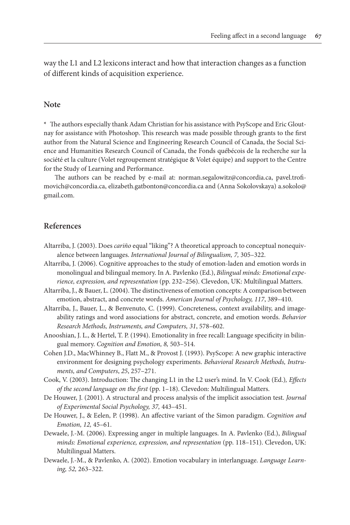way the L1 and L2 lexicons interact and how that interaction changes as a function of different kinds of acquisition experience.

#### **Note**

\* The authors especially thank Adam Christian for his assistance with PsyScope and Eric Gloutnay for assistance with Photoshop. This research was made possible through grants to the first author from the Natural Science and Engineering Research Council of Canada, the Social Science and Humanities Research Council of Canada, the Fonds québécois de la recherche sur la société et la culture (Volet regroupement stratégique & Volet équipe) and support to the Centre for the Study of Learning and Performance.

The authors can be reached by e-mail at: [norman.segalowitz@concordia.ca,](mailto:norman.segalowitz@concordia.ca) pavel.trofi[movich@concordia.ca](mailto:pavel.trofimovich@concordia.ca), [elizabeth.gatbonton@concordia.ca](mailto:elizabeth.gatbonton@concordia.ca) and (Anna Sokolovskaya) [a.sokolo@](mailto:a.sokolo@gmail.com) [gmail.com.](mailto:a.sokolo@gmail.com)

## **References**

- Altarriba, J. (2003). Does cariño equal "liking"? A theoretical approach to conceptual nonequivalence between languages. International Journal of Bilingualism, 7, 305–322.
- Altarriba, J. (2006). Cognitive approaches to the study of emotion-laden and emotion words in monolingual and bilingual memory. In A. Pavlenko (Ed.), Bilingual minds: Emotional experience, expression, and representation (pp. 232–256). Clevedon, UK: Multilingual Matters.
- Altarriba, J., & Bauer, L. (2004). The distinctiveness of emotion concepts: A comparison between emotion, abstract, and concrete words. American Journal of Psychology, 117, 389–410.
- Altarriba, J., Bauer, L., & Benvenuto, C. (1999). Concreteness, context availability, and imageability ratings and word associations for abstract, concrete, and emotion words. Behavior Research Methods, Instruments, and Computers, 31, 578–602.
- Anooshian, J. L., & Hertel, T. P. (1994). Emotionality in free recall: Language specificity in bilingual memory. Cognition and Emotion, 8, 503–514.
- Cohen J.D., MacWhinney B., Flatt M., & Provost J. (1993). PsyScope: A new graphic interactive environment for designing psychology experiments. Behavioral Research Methods, Instruments, and Computers, 25, 257–271.
- Cook, V. (2003). Introduction: The changing L1 in the L2 user's mind. In V. Cook (Ed.), Effects of the second language on the first (pp.  $1-18$ ). Clevedon: Multilingual Matters.
- De Houwer, J. (2001). A structural and process analysis of the implicit association test. Journal of Experimental Social Psychology, 37, 443–451.
- De Houwer, J., & Eelen, P. (1998). An affective variant of the Simon paradigm. Cognition and Emotion, 12, 45–61.
- Dewaele, J.-M. (2006). Expressing anger in multiple languages. In A. Pavlenko (Ed.), Bilingual minds: Emotional experience, expression, and representation (pp. 118–151). Clevedon, UK: Multilingual Matters.
- Dewaele, J.-M., & Pavlenko, A. (2002). Emotion vocabulary in interlanguage. Language Learning, 52, 263–322.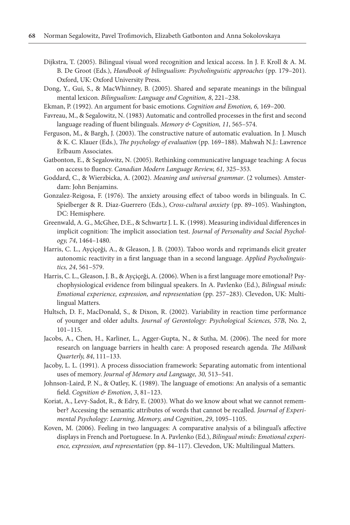- Dijkstra, T. (2005). Bilingual visual word recognition and lexical access. In J. F. Kroll & A. M. B. De Groot (Eds.), Handbook of bilingualism: Psycholinguistic approaches (pp. 179–201). Oxford, UK: Oxford University Press.
- Dong, Y., Gui, S., & MacWhinney, B. (2005). Shared and separate meanings in the bilingual mental lexicon. Bilingualism: Language and Cognition, 8, 221–238.
- Ekman, P. (1992). An argument for basic emotions. Cognition and Emotion, 6, 169–200.
- Favreau, M., & Segalowitz, N. (1983) Automatic and controlled processes in the first and second language reading of fluent bilinguals. Memory & Cognition, 11, 565-574.
- Ferguson, M., & Bargh, J. (2003). The constructive nature of automatic evaluation. In J. Musch & K. C. Klauer (Eds.), The psychology of evaluation (pp. 169-188). Mahwah N.J.: Lawrence Erlbaum Associates.
- Gatbonton, E., & Segalowitz, N. (2005). Rethinking communicative language teaching: A focus on access to fluency. Canadian Modern Language Review, 61, 325-353.
- Goddard, C., & Wierzbicka, A. (2002). Meaning and universal grammar. (2 volumes). Amsterdam: John Benjamins.
- Gonzalez-Reigosa, F. (1976). The anxiety arousing effect of taboo words in bilinguals. In C. Spielberger & R. Diaz-Guerrero (Eds.), Cross-cultural anxiety (pp. 89–105). Washington, DC: Hemisphere.
- Greenwald, A. G., McGhee, D.E., & Schwartz J. L. K. (1998). Measuring individual differences in implicit cognition: The implicit association test. Journal of Personality and Social Psychology, 74, 1464–1480.
- Harris, C. L., Ayçiçeği, A., & Gleason, J. B. (2003). Taboo words and reprimands elicit greater autonomic reactivity in a first language than in a second language. Applied Psycholinguistics, 24, 561–579.
- Harris, C. L., Gleason, J. B., & Ayçiçeği, A. (2006). When is a first language more emotional? Psychophysiological evidence from bilingual speakers. In A. Pavlenko (Ed.), Bilingual minds: Emotional experience, expression, and representation (pp. 257–283). Clevedon, UK: Multilingual Matters.
- Hultsch, D. F., MacDonald, S., & Dixon, R. (2002). Variability in reaction time performance of younger and older adults. Journal of Gerontology: Psychological Sciences, 57B, No. 2, 101–115.
- Jacobs, A., Chen, H., Karliner, L., Agger-Gupta, N., & Sutha, M. (2006). The need for more research on language barriers in health care: A proposed research agenda. The Milbank Quarterly, 84, 111–133.
- Jacoby, L. L. (1991). A process dissociation framework: Separating automatic from intentional uses of memory. Journal of Memory and Language, 30, 513–541.
- Johnson-Laird, P. N., & Oatley, K. (1989). The language of emotions: An analysis of a semantic field. Cognition & Emotion, 3, 81-123.
- Koriat, A., Levy-Sadot, R., & Edry, E. (2003). What do we know about what we cannot remember? Accessing the semantic attributes of words that cannot be recalled. Journal of Experimental Psychology: Learning, Memory, and Cognition, 29, 1095–1105.
- Koven, M. (2006). Feeling in two languages: A comparative analysis of a bilingual's affective displays in French and Portuguese. In A. Pavlenko (Ed.), Bilingual minds: Emotional experience, expression, and representation (pp. 84–117). Clevedon, UK: Multilingual Matters.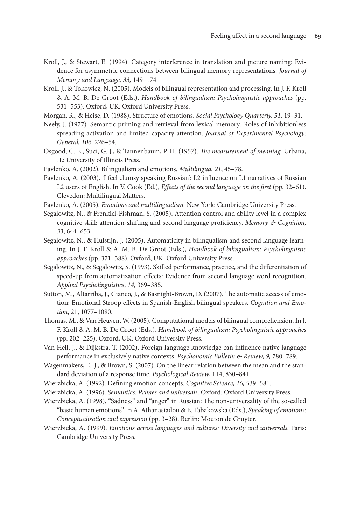- Kroll, J., & Stewart, E. (1994). Category interference in translation and picture naming: Evidence for asymmetric connections between bilingual memory representations. Journal of Memory and Language, 33, 149–174.
- Kroll, J., & Tokowicz, N. (2005). Models of bilingual representation and processing. In J. F. Kroll & A. M. B. De Groot (Eds.), Handbook of bilingualism: Psycholinguistic approaches (pp. 531–553). Oxford, UK: Oxford University Press.
- Morgan, R., & Heise, D. (1988). Structure of emotions. Social Psychology Quarterly, 51, 19–31.
- Neely, J. (1977). Semantic priming and retrieval from lexical memory: Roles of inhibitionless spreading activation and limited-capacity attention. Journal of Experimental Psychology: General, 106, 226–54.
- Osgood, C. E., Suci, G. J., & Tannenbaum, P. H. (1957). The measurement of meaning. Urbana, IL: University of Illinois Press.
- Pavlenko, A. (2002). Bilingualism and emotions. Multilingua, 21, 45–78.
- Pavlenko, A. (2003). 'I feel clumsy speaking Russian': L2 influence on L1 narratives of Russian L2 users of English. In V. Cook (Ed.), *Effects of the second language on the first* (pp.  $32-61$ ). Clevedon: Multilingual Matters.
- Pavlenko, A. (2005). Emotions and multilingualism. New York: Cambridge University Press.
- Segalowitz, N., & Frenkiel-Fishman, S. (2005). Attention control and ability level in a complex cognitive skill: attention-shifting and second language proficiency. Memory & Cognition, 33, 644–653.
- Segalowitz, N., & Hulstijn, J. (2005). Automaticity in bilingualism and second language learning. In J. F. Kroll & A. M. B. De Groot (Eds.), Handbook of bilingualism: Psycholinguistic approaches (pp. 371–388). Oxford, UK: Oxford University Press.
- Segalowitz, N., & Segalowitz, S. (1993). Skilled performance, practice, and the differentiation of speed-up from automatization effects: Evidence from second language word recognition. Applied Psycholinguistics, 14, 369–385.
- Sutton, M., Altarriba, J., Gianco, J., & Basnight-Brown, D. (2007). The automatic access of emotion: Emotional Stroop effects in Spanish-English bilingual speakers. Cognition and Emotion, 21, 1077–1090.
- Thomas, M., & Van Heuven, W. (2005). Computational models of bilingual comprehension. In J. F. Kroll & A. M. B. De Groot (Eds.), Handbook of bilingualism: Psycholinguistic approaches (pp. 202–225). Oxford, UK: Oxford University Press.
- Van Hell, J., & Dijkstra, T. (2002). Foreign language knowledge can influence native language performance in exclusively native contexts. Psychonomic Bulletin & Review, 9, 780-789.
- Wagenmakers, E.-J., & Brown, S. (2007). On the linear relation between the mean and the standard deviation of a response time. Psychological Review, 114, 830–841.
- Wierzbicka, A. (1992). Defining emotion concepts. Cognitive Science, 16, 539-581.
- Wierzbicka, A. (1996). Semantics: Primes and universals. Oxford: Oxford University Press.
- Wierzbicka, A. (1998). "Sadness" and "anger" in Russian: The non-universality of the so-called "basic human emotions". In A. Athanasiadou & E. Tabakowska (Eds.), Speaking of emotions: Conceptualisation and expression (pp. 3–28). Berlin: Mouton de Gruyter.
- Wierzbicka, A. (1999). Emotions across languages and cultures: Diversity and universals. Paris: Cambridge University Press.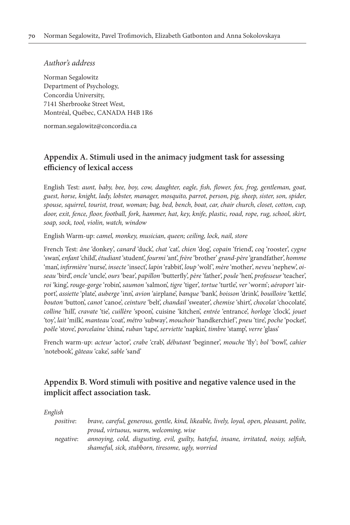#### Author's address

Norman Segalowitz Department of Psychology, Concordia University, 7141 Sherbrooke Street West, Montréal, Québec, CANADA H4B 1R6

[norman.segalowitz@concordia.ca](mailto:norman.segalowitz@concordia.ca)

# **Appendix A. Stimuli used in the animacy judgment task for assessing efficiency of lexical access**

English Test: aunt, baby, bee, boy, cow, daughter, eagle, fish, flower, fox, frog, gentleman, goat, guest, horse, knight, lady, lobster, manager, mosquito, parrot, person, pig, sheep, sister, son, spider, spouse, squirrel, tourist, trout, woman; bag, bed, bench, boat, car, chair church, closet, cotton, cup, door, exit, fence, floor, football, fork, hammer, hat, key, knife, plastic, road, rope, rug, school, skirt, soap, sock, tool, violin, watch, window

English Warm-up: camel, monkey, musician, queen; ceiling, lock, nail, store

French Test: âne 'donkey', canard 'duck', chat 'cat', chien 'dog', copain 'friend', coq 'rooster', cygne 'swan', enfant 'child', étudiant 'student', fourmi 'ant', frère 'brother' grand-père 'grandfather', homme 'man', infirmière 'nurse', insecte 'insect', lapin 'rabbit', loup 'wolf', mère 'mother', neveu 'nephew', oiseau 'bird', oncle 'uncle', ours 'bear', papillon 'butterfly', père 'father', poule 'hen', professeur 'teacher', roi 'king', rouge-gorge 'robin', saumon 'salmon', tigre 'tiger', tortue 'turtle', ver 'worm'; aéroport 'airport', assiette 'plate', auberge 'inn', avion 'airplane', banque 'bank', boisson 'drink', bouilloire 'kettle', bouton 'button', canot 'canoe', ceinture 'belt', chandail 'sweater', chemise 'shirt', chocolat 'chocolate', colline 'hill', cravate 'tie', cuillère 'spoon', cuisine 'kitchen', entrée 'entrance', horloge 'clock', jouet 'toy', lait 'milk', manteau 'coat', métro 'subway', mouchoir 'handkerchief ', pneu 'tire', poche 'pocket', poêle 'stove', porcelaine 'china', ruban 'tape', serviette 'napkin', timbre 'stamp', verre 'glass'

French warm-up: acteur 'actor', crabe 'crab', débutant 'beginner', mouche 'fly'; bol 'bowl', cahier 'notebook', gâteau 'cake', sable 'sand'

# **Appendix B. Word stimuli with positive and negative valence used in the**  implicit affect association task.

English

positive: brave, careful, generous, gentle, kind, likeable, lively, loyal, open, pleasant, polite, proud, virtuous, warm, welcoming, wise negative: annoying, cold, disgusting, evil, guilty, hateful, insane, irritated, noisy, selfish, shameful, sick, stubborn, tiresome, ugly, worried